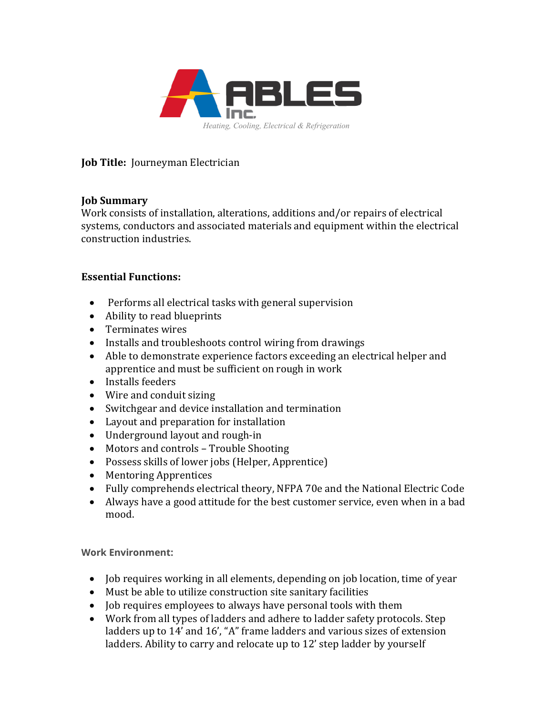

**Job Title:** Journeyman Electrician

## **Job Summary**

Work consists of installation, alterations, additions and/or repairs of electrical systems, conductors and associated materials and equipment within the electrical construction industries.

## **Essential Functions:**

- Performs all electrical tasks with general supervision
- Ability to read blueprints
- Terminates wires
- Installs and troubleshoots control wiring from drawings
- Able to demonstrate experience factors exceeding an electrical helper and apprentice and must be sufficient on rough in work
- Installs feeders
- Wire and conduit sizing
- Switchgear and device installation and termination
- Layout and preparation for installation
- Underground layout and rough-in
- Motors and controls Trouble Shooting
- Possess skills of lower jobs (Helper, Apprentice)
- Mentoring Apprentices
- Fully comprehends electrical theory, NFPA 70e and the National Electric Code
- Always have a good attitude for the best customer service, even when in a bad mood.

**Work Environment:**

- Job requires working in all elements, depending on job location, time of year
- Must be able to utilize construction site sanitary facilities
- Job requires employees to always have personal tools with them
- Work from all types of ladders and adhere to ladder safety protocols. Step ladders up to 14' and 16', "A" frame ladders and various sizes of extension ladders. Ability to carry and relocate up to 12' step ladder by yourself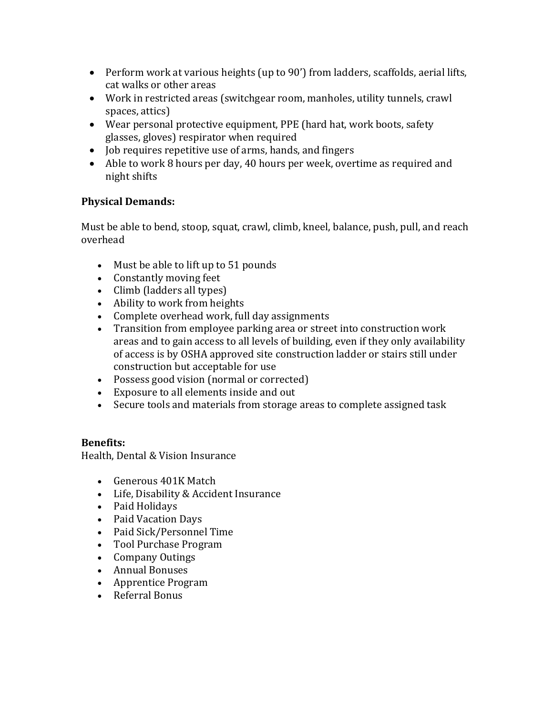- Perform work at various heights (up to 90') from ladders, scaffolds, aerial lifts, cat walks or other areas
- Work in restricted areas (switchgear room, manholes, utility tunnels, crawl spaces, attics)
- Wear personal protective equipment, PPE (hard hat, work boots, safety glasses, gloves) respirator when required
- Job requires repetitive use of arms, hands, and fingers
- Able to work 8 hours per day, 40 hours per week, overtime as required and night shifts

## **Physical Demands:**

Must be able to bend, stoop, squat, crawl, climb, kneel, balance, push, pull, and reach overhead

- Must be able to lift up to 51 pounds
- Constantly moving feet
- Climb (ladders all types)
- Ability to work from heights
- Complete overhead work, full day assignments
- Transition from employee parking area or street into construction work areas and to gain access to all levels of building, even if they only availability of access is by OSHA approved site construction ladder or stairs still under construction but acceptable for use
- Possess good vision (normal or corrected)
- Exposure to all elements inside and out
- Secure tools and materials from storage areas to complete assigned task

# **Benefits:**

Health, Dental & Vision Insurance

- Generous 401K Match
- Life, Disability & Accident Insurance
- Paid Holidays
- Paid Vacation Days
- Paid Sick/Personnel Time
- Tool Purchase Program
- Company Outings
- Annual Bonuses
- Apprentice Program
- Referral Bonus